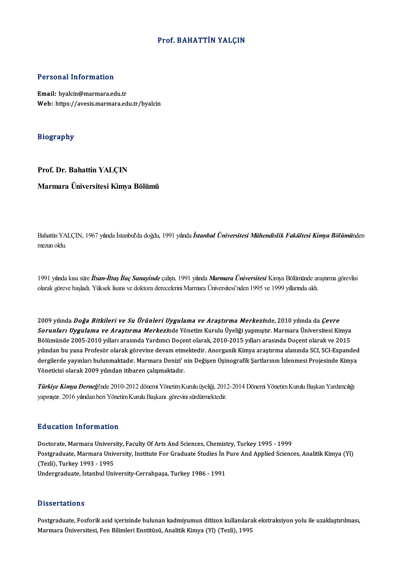#### Prof. BAHATTİN YALÇIN

#### Personal Information

Email: byalcin@marmara.edu.tr Web: https://avesis.marmara.edu.tr/byalcin

#### Biography

#### Prof. Dr. Bahattin YALÇIN

#### Marmara Üniversitesi Kimya Bölümü

Bahattin YALÇIN, 1967 yılında İstanbul'da doğdu, 1991 yılında İstanbul Üniversitesi Mühendislik Fakültesi Kimya Bölümünden mezun oldu.

1991 yılında kısa süre İlsan-İltaş İlaç Sanayinde çalıştı. 1991 yılında Marmara Üniversitesi Kimya Bölümünde araştırma görevlisi olarak göreve başladı. Yüksek lisans ve doktora derecelerini Marmara Üniversitesi'nden 1995 ve 1999 yıllarında aldı.

2009 yılında Doğa Bitkileri ve Su Ürünleri Uygulama ve Araştırma Merkezinde, 2010 yılında da Çevre 2009 yılında *Doğa Bitkileri ve Su Ürünleri Uygulama ve Araştırma Merkezi*nde, 2010 yılında da *Çevre*<br>*Sorunları Uygulama ve Araştırma Merkezi*nde Yönetim Kurulu Üyeliği yapmıştır. Marmara Üniversitesi Kimya<br>Bölümünde 200 2009 yılında *Doğa Bitkileri ve Su Ürünleri Uygulama ve Araştırma Merkezi*nde, 2010 yılında da *Çevre<br>Sorunları Uygulama ve Araştırma Merkezi*nde Yönetim Kurulu Üyeliği yapmıştır. Marmara Üniversitesi Kimya<br>Bölümünde 2005-*Sorunları Uygulama ve Araştırma Merkezi*nde Yönetim Kurulu Üyeliği yapmıştır. Marmara Üniversitesi Kimya<br>Bölümünde 2005-2010 yılları arasında Yardımcı Doçent olarak, 2010-2015 yılları arasında Doçent olarak ve 2015<br>yılınd Bölümünde 2005-2010 yılları arasında Yardımcı Doçent olarak, 2010-2015 yılları arasında Doçent olarak ve 2015<br>yılından bu yana Profesör olarak görevine devam etmektedir. Anorganik Kimya araştırma alanında SCI, SCI-Expanded yılından bu yana Profesör olarak görevine devam etm<br>dergilerde yayınları bulunmaktadır. Marmara Denizi' ı<br>Yöneticisi olarak 2009 yılından itibaren çalışmaktadır.

Türkiye Kimya Derneği'nde 2010-2012 dönemi Yönetim Kurulu üyeliği, 2012-2014 Dönemi Yönetim Kurulu Başkan Yardımcılığı yapmıştır. 2016 yılından beri Yönetim Kurulu Başkanı görevini sürdürmektedir.

#### Education Information

Education Information<br>Doctorate, Marmara University, Faculty Of Arts And Sciences, Chemistry, Turkey 1995 - 1999<br>Postanaduate Marmara University, Institute For Craduate Studies in Bure And Annlied Scienc Postgraduate, Marmara University, Institute For Graduate Studies İn Pure And Applied Sciences, Analitik Kimya (Yl)<br>(Tezli), Turkey 1993 - 1995 Doctorate, Marmara Univers<br>Postgraduate, Marmara Univ<br>(Tezli), Turkey 1993 - 1995<br>Undergraduate, İstanbul Uni Undergraduate, İstanbulUniversity-Cerrahpaşa,Turkey1986 -1991

#### **Dissertations**

Postgraduate, Fosforik asid içerisinde bulunan kadmiyumun ditizon kullanılarak ekstraksiyon yolu ile uzaklaştırılması, Marmara Üniversitesi, Fen Bilimleri Enstitüsü, Analitik Kimya (Yl) (Tezli), 1995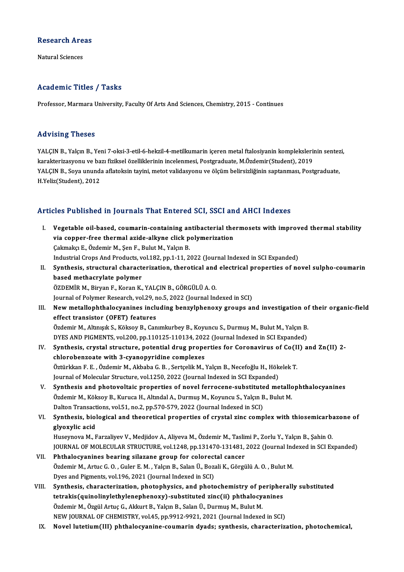## Research Areas<br>Research Areas <mark>Research Are</mark><br>Natural Sciences

# Natural Sciences<br>Academic Titles / Tasks

Professor, Marmara University, Faculty Of Arts And Sciences, Chemistry, 2015 - Continues

#### Advising Theses

Advising Theses<br>YALÇIN B., Yalçın B., Yeni 7-oksi-3-etil-6-hekzil-4-metilkumarin içeren metal ftalosiyanin komplekslerinin sentezi,<br>karakterirasyonu ve bazı fizikael özelliklerinin inselenmesi, Bestaraduste Mözdemir(Studen kar vesing virosos<br>YALÇIN B., Yalçın B., Yeni 7-oksi-3-etil-6-hekzil-4-metilkumarin içeren metal ftalosiyanin kompleksleri<br>karakterizasyonu ve bazı fiziksel özelliklerinin incelenmesi, Postgraduate, M.Özdemir(Student), 201 YALÇIN B., Yalçın B., Yeni 7-oksi-3-etil-6-hekzil-4-metilkumarin içeren metal ftalosiyanin komplekslerinin sentez<br>karakterizasyonu ve bazı fiziksel özelliklerinin incelenmesi, Postgraduate, M.Özdemir(Student), 2019<br>YALÇIN karakterizasyonu ve ba<br>YALÇIN B., Soya unund:<br>H.Yeliz(Student), 2012

# Articles Published in Journals That Entered SCI, SSCI and AHCI Indexes

rticles Published in Journals That Entered SCI, SSCI and AHCI Indexes<br>I. Vegetable oil-based, coumarin-containing antibacterial thermosets with improved thermal stability<br>wie connor free thermal stide allyine eligh polymer vice i definince in journale final anticred box, boordin<br>Vegetable oil-based, coumarin-containing antibacterial the<br>Colmoka E. Özdemir M. Sen E. Bulut M. Volan B. Vegetable oil-based, coumarin-containing an<br>via copper-free thermal azide-alkyne click p<br>Çakmakçı E., Özdemir M., Şen F., Bulut M., Yalçın B.<br>Industrial Crops Ard Produsts vol 192 pp 1 11 2 via copper-free thermal azide-alkyne click polymerization<br>Cakmakçı E., Özdemir M., Şen F., Bulut M., Yalçın B.<br>Industrial Crops And Products, vol.182, pp.1-11, 2022 (Journal Indexed in SCI Expanded) Cakmakçı E., Özdemir M., Şen F., Bulut M., Yalçın B.<br>Industrial Crops And Products, vol.182, pp.1-11, 2022 (Journal Indexed in SCI Expanded)<br>II. Synthesis, structural characterization, therotical and electrical properties based methacrylate polymer<br>ÖZDEMİR M., Biryan F., Koran K., YALÇIN B., GÖRGÜLÜ A. O. Synthesis, structural characterization, therotical and<br>based methacrylate polymer<br>ÖZDEMİR M., Biryan F., Koran K., YALÇIN B., GÖRGÜLÜ A. O.<br>Journal of Polymer Pessarsh vol 29, no 5, 2022 (Journal Inc Journal of Polymer Research, vol.29, no.5, 2022 (Journal Indexed in SCI) ÖZDEMİR M., Biryan F., Koran K., YALÇIN B., GÖRGÜLÜ A. O.<br>Journal of Polymer Research, vol.29, no.5, 2022 (Journal Indexed in SCI)<br>III. New metallophthalocyanines including benzylphenoxy groups and investigation of their o Journal of Polymer Research, vol.29, n<br>New metallophthalocyanines inclu<br>effect transistor (OFET) features<br>Özdemir M. Altmeyk S. Kölsey B. Can New metallophthalocyanines including benzylphenoxy groups and investigation of<br>effect transistor (OFET) features<br>Özdemir M., Altınışık S., Köksoy B., Canımkurbey B., Koyuncu S., Durmuş M., Bulut M., Yalçın B.<br>DYES AND BICM effect transistor (OFET) features<br>Özdemir M., Altınışık S., Köksoy B., Canımkurbey B., Koyuncu S., Durmuş M., Bulut M., Yalçın B.<br>DYES AND PIGMENTS, vol.200, pp.110125-110134, 2022 (Journal Indexed in SCI Expanded)<br>Synthes Özdemir M., Altınışık S., Köksoy B., Canımkurbey B., Koyuncu S., Durmuş M., Bulut M., Yalçın B.<br>DYES AND PIGMENTS, vol.200, pp.110125-110134, 2022 (Journal Indexed in SCI Expanded)<br>IV. Synthesis, crystal structure, potenti DYES AND PIGMENTS, vol.200, pp.110125-110134, 202<br>Synthesis, crystal structure, potential drug prope<br>chlorobenzoate with 3-cyanopyridine complexes Synthesis, crystal structure, potential drug properties for Coronavirus of Co(I.<br>chlorobenzoate with 3-cyanopyridine complexes<br>Öztürkkan F. E. , Özdemir M., Akbaba G. B. , Sertçelik M., Yalçın B., Necefoğlu H., Hökelek T.<br> chlorobenzoate with 3-cyanopyridine complexes<br>Öztürkkan F. E. , Özdemir M., Akbaba G. B. , Sertçelik M., Yalçın B., Necefoğlu H., Hök<br>Journal of Molecular Structure, vol.1250, 2022 (Journal Indexed in SCI Expanded)<br>Synthes Journal of Molecular Structure, vol.1250, 2022 (Journal Indexed in SCI Expanded)<br>V. Synthesis and photovoltaic properties of novel ferrocene-substituted metallophthalocyanines Journal of Molecular Structure, vol.1250, 2022 (Journal Indexed in SCI Expanded)<br>Synthesis and photovoltaic properties of novel ferrocene-substituted metallo<br>Özdemir M., Köksoy B., Kuruca H., Altındal A., Durmuş M., Koyunc Synthesis and photovoltaic properties of novel ferrocene-substitute<br>Özdemir M., Köksoy B., Kuruca H., Altındal A., Durmuş M., Koyuncu S., Yalçın B<br>Dalton Transactions, vol.51, no.2, pp.570-579, 2022 (Journal Indexed in SCI VI. Synthesis, biological and theoretical properties of crystal zinc complex with thiosemicarbazone of Dalton Transactions, vol.51, no.2, pp.570-579, 2022 (Journal Indexed in SCI) Huseynova M., Farzaliyev V., Medjidov A., Aliyeva M., Özdemir M., Taslimi P., Zorlu Y., Yalçın B., Şahin O. glyoxylic acid<br>Huseynova M., Farzaliyev V., Medjidov A., Aliyeva M., Özdemir M., Taslimi P., Zorlu Y., Yalçın B., Şahin O.<br>JOURNAL OF MOLECULAR STRUCTURE, vol.1248, pp.131470-131481, 2022 (Journal Indexed in SCI Expanded)<br> Huseynova M., Farzaliyev V., Medjidov A., Aliyeva M., Özdemir M., Tasli<br>JOURNAL OF MOLECULAR STRUCTURE, vol.1248, pp.131470-131481,<br>VII. Phthalocyanines bearing silazane group for colorectal cancer<br>Özdemir M. Artus C.O., C JOURNAL OF MOLECULAR STRUCTURE, vol.1248, pp.131470-131481, 2022 (Journal Inc<br>Phthalocyanines bearing silazane group for colorectal cancer<br>Özdemir M., Artuc G. O. , Guler E. M. , Yalçın B., Salan Ü., Bozali K., Görgülü A. Phthalocyanines bearing silazane group for colorect<br>Özdemir M., Artuc G. O., Guler E. M., Yalçın B., Salan Ü., Boza<br>Dyes and Pigments, vol.196, 2021 (Journal Indexed in SCI)<br>Synthesis, sharesterization, phetephysiss, and p Özdemir M., Artuc G. O., Guler E. M., Yalçın B., Salan Ü., Bozali K., Görgülü A. O., Bulut M.<br>Dyes and Pigments, vol.196, 2021 (Journal Indexed in SCI)<br>VIII. Synthesis, characterization, photophysics, and photochemistry of Dyes and Pigments, vol.196, 2021 (Journal Indexed in SCI)<br>Synthesis, characterization, photophysics, and photochemistry of peripher<br>tetrakis(quinolinylethylenephenoxy)-substituted zinc(ii) phthalocyanines<br>Özdemir M. Özgül Synthesis, characterization, photophysics, and photochemistry of poterrakis(quinolinylethylenephenoxy)-substituted zinc(ii) phthalocy<br>Özdemir M., Özgül Artuç G., Akkurt B., Yalçın B., Salan Ü., Durmuş M., Bulut M.<br>NEW JOUP tetrakis(quinolinylethylenephenoxy)-substituted zinc(ii) phthalocyanines<br>Özdemir M., Özgül Artuç G., Akkurt B., Yalçın B., Salan Ü., Durmuş M., Bulut M.<br>NEW JOURNAL OF CHEMISTRY, vol.45, pp.9912-9921, 2021 (Journal Indexed NEW JOURNAL OF CHEMISTRY, vol.45, pp.9912-9921, 2021 (Journal Indexed in SCI)<br>IX. Novel lutetium(III) phthalocyanine-coumarin dyads; synthesis, characterization, photochemical,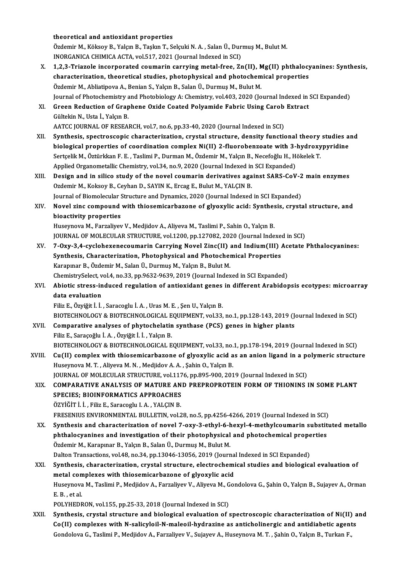theoretical and antioxidant properties

theoretical and antioxidant properties<br>Özdemir M., Köksoy B., Yalçın B., Taşkın T., Selçuki N. A. , Salan Ü., Durmuş M., Bulut M.<br>INORÇANIÇA CHIMIÇA ACTA xol 517, 2021 (Jaurnal Indoved in SCI) theoretical and antioxidant properties<br>Özdemir M., Köksoy B., Yalçın B., Taşkın T., Selçuki N. A. , Salan Ü., Dur<br>INORGANICA CHIMICA ACTA, vol.517, 2021 (Journal Indexed in SCI)<br>1.2.2. Triarela incorporated coumenin convui

- Özdemir M., Köksoy B., Yalçın B., Taşkın T., Selçuki N. A. , Salan Ü., Durmuş M., Bulut M.<br>INORGANICA CHIMICA ACTA, vol.517, 2021 (Journal Indexed in SCI)<br>X. 1,2,3-Triazole incorporated coumarin carrying metal-free, Zn(II) INORGANICA CHIMICA ACTA, vol.517, 2021 (Journal Indexed in SCI)<br>1,2,3-Triazole incorporated coumarin carrying metal-free, Zn(II), Mg(II) phthalocy<br>characterization, theoretical studies, photophysical and photochemical prop 1,2,3-Triazole incorporated coumarin carrying metal-free, Zn(II), N<br>characterization, theoretical studies, photophysical and photochem<br>Özdemir M., Abliatipova A., Benian S., Yalçın B., Salan Ü., Durmuş M., Bulut M.<br>Journal characterization, theoretical studies, photophysical and photochemical properties<br>Özdemir M., Abliatipova A., Benian S., Yalçın B., Salan Ü., Durmuş M., Bulut M.<br>Journal of Photochemistry and Photobiology A: Chemistry, vol Özdemir M., Abliatipova A., Benian S., Yalçın B., Salan Ü., Durmuş M., Bulut M.<br>Journal of Photochemistry and Photobiology A: Chemistry, vol.403, 2020 (Journal Indexed in :<br>XI. Green Reduction of Graphene Oxide Coated Poly
- Journal of Photochemistry a<br>Green Reduction of Grap<br>Gültekin N., Usta İ., Yalçın B.<br>AATCC JOURNAL OF RESEA AATCC JOURNAL OF RESEARCH, vol.7, no.6, pp.33-40, 2020 (Journal Indexed in SCI)
- Gültekin N., Usta İ., Yalçın B.<br>AATCC JOURNAL OF RESEARCH, vol.7, no.6, pp.33-40, 2020 (Journal Indexed in SCI)<br>XII. Synthesis, spectroscopic characterization, crystal structure, density functional theory studies and<br>hielo AATCC JOURNAL OF RESEARCH, vol.7, no.6, pp.33-40, 2020 (Journal Indexed in SCI)<br>Synthesis, spectroscopic characterization, crystal structure, density functional theory studies a<br>biological properties of coordination comple Synthesis, spectroscopic characterization, crystal structure, density functional theory<br>biological properties of coordination complex Ni(II) 2-fluorobenzoate with 3-hydroxy<br>Sertçelik M., Öztürkkan F. E. , Taslimi P., Durma biological properties of coordination complex Ni(II) 2-fluorobenzoate with 3-<br>Sertçelik M., Öztürkkan F. E. , Taslimi P., Durman M., Özdemir M., Yalçın B., Necefoğlu H., H.<br>Applied Organometallic Chemistry, vol.34, no.9, 2 Sertçelik M., Öztürkkan F. E. , Taslimi P., Durman M., Özdemir M., Yalçın B., Necefoğlu H., Hökelek T.<br>Applied Organometallic Chemistry, vol.34, no.9, 2020 (Journal Indexed in SCI Expanded)<br>XIII. Design and in silico study
- Applied Organometallic Chemistry, vol.34, no.9, 2020 (Journal Indexed in<br>Design and in silico study of the novel coumarin derivatives aga<br>Ozdemir M., Koksoy B., Ceyhan D., SAYIN K., Ercag E., Bulut M., YALÇIN B.<br>Journal of Design and in silico study of the novel coumarin derivatives against SARS-CoV-2<br>Ozdemir M., Koksoy B., Ceyhan D., SAYIN K., Ercag E., Bulut M., YALÇIN B.<br>Journal of Biomolecular Structure and Dynamics, 2020 (Journal Indexe Journal of Biomolecular Structure and Dynamics, 2020 (Journal Indexed in SCI Expanded)
- Ozdemir M., Koksoy B., Ceyhan D., SAYIN K., Ercag E., Bulut M., YALÇIN B.<br>Journal of Biomolecular Structure and Dynamics, 2020 (Journal Indexed in SCI Expanded)<br>XIV. Novel zinc compound with thiosemicarbazone of glyoxylic

Huseynova M., Farzaliyev V., Medjidov A., Aliyeva M., Taslimi P., Sahin O., Yalçın B. JOURNAL OF MOLECULAR STRUCTURE, vol.1200, pp.127082, 2020 (Journal Indexed in SCI)

- XV. 7-Oxy-3,4-cyclohexenecoumarin Carrying Novel Zinc(II) and Indium(III) Acetate Phthalocyanines: JOURNAL OF MOLECULAR STRUCTURE, vol.1200, pp.127082, 2020 (Journal Indexert T-Oxy-3,4-cyclohexenecoumarin Carrying Novel Zinc(II) and Indium(III) and Synthesis, Characterization, Photophysical and Photochemical Properties<br> 7-Oxy-3,4-cyclohexenecoumarin Carrying Novel Zinc(II) a<br>Synthesis, Characterization, Photophysical and Photocher<br>Karapınar B., Özdemir M., Salan Ü., Durmuş M., Yalçın B., Bulut M.<br>ChamistruSelest vel 4. no.22. np.9622.9629 Synthesis, Characterization, Photophysical and Photochemical Properties<br>Karapınar B., Özdemir M., Salan Ü., Durmuş M., Yalçın B., Bulut M.<br>ChemistrySelect, vol.4, no.33, pp.9632-9639, 2019 (Journal Indexed in SCI Expanded) Karapınar B., Özdemir M., Salan Ü., Durmuş M., Yalçın B., Bulut M.<br>ChemistrySelect, vol.4, no.33, pp.9632-9639, 2019 (Journal Indexed in SCI Expanded)<br>XVI. Abiotic stress-induced regulation of antioxidant genes in differen
- ChemistrySelect, v<br>Abiotic stress-in<br>data evaluation<br>Filiz E. Ömriğit İ. İ. data evaluation<br>Filiz E., Özyiğit İ. İ. , Saracoglu İ. A. , Uras M. E. , Şen U., Yalçın B.<br>BIOTECHNOLOGY & BIOTECHNOLOGICAL EQUIPMENT, vol.33, no.1, pp.128-143, 2019 (Journal Indexed in SCI)<br>Comparative analyses of phytosh

Filiz E., Özyiğit İ. İ. , Saracoglu İ. A. , Uras M. E. , Şen U., Yalçın B.

- Filiz E., Özyiğit İ. İ. , Saracoglu İ. A. , Uras M. E. , Şen U., Yalçın B.<br>BIOTECHNOLOGY & BIOTECHNOLOGICAL EQUIPMENT, vol.33, no.1, pp.128-143, 2019 (Jensim L. Comparative analyses of phytochelatin synthase (PCS) genes in BIOTECHNOLOGY & BIOTECHNOLOGICAL E<br>Comparative analyses of phytochelatin<br>Filiz E., Saraçoğlu İ. A. , Özyiğit İ. İ. , Yalçın B.<br>BIOTECHNOLOGY & BIOTECHNOLOGICAL E Comparative analyses of phytochelatin synthase (PCS) genes in higher plants<br>Filiz E., Saraçoğlu İ. A. , Özyiğit İ. İ. , Yalçın B.<br>BIOTECHNOLOGY & BIOTECHNOLOGICAL EQUIPMENT, vol.33, no.1, pp.178-194, 2019 (Journal Indexed Filiz E., Saraçoğlu İ. A. , Özyiğit İ. İ. , Yalçın B.<br>BIOTECHNOLOGY & BIOTECHNOLOGICAL EQUIPMENT, vol.33, no.1, pp.178-194, 2019 (Journal Indexed in SCI)<br>XVIII. Cu(II) complex with thiosemicarbazone of glyoxylic acid as an
- BIOTECHNOLOGY & BIOTECHNOLOGICAL EQUIPMENT, vol.33, no.<br>Cu(II) complex with thiosemicarbazone of glyoxylic acid a<br>Huseynova M.T., Aliyeva M.N., Medjidov A.A., Şahin O., Yalçın B.<br>JOUPMAL OE MOLECULAR STRUCTURE vol.1176, np XVIII. Cu(II) complex with thiosemicarbazone of glyoxylic acid as an anion ligand in a polymeric structure<br>Huseynova M. T., Aliyeva M. N., Medjidov A. A., Sahin O., Yalçın B. JOURNAL OF MOLECULAR STRUCTURE, vol.1176, pp.895-900, 2019 (Journal Indexed in SCI)
	- XIX. COMPARATIVE ANALYSIS OF MATURE AND PREPROPROTEIN FORM OF THIONINS IN SOME PLANT<br>SPECIES: BIOINFORMATICS APPROACHES ÖZYİĞİT İ. İ., Filiz E., Saracoglu I. A., YALÇIN B. SPECIES; BIOINFORMATICS APPROACHES<br>ÖZYİĞİT İ. İ. , Filiz E., Saracoglu I. A. , YALÇIN B.<br>FRESENIUS ENVIRONMENTAL BULLETIN, vol.28, no.5, pp.4256-4266, 2019 (Journal Indexed in SCI)<br>Synthesis and sharasterization of novel 7 ÖZYİĞİT İ. İ. , Filiz E., Saracoglu I. A. , YALÇIN B.<br>FRESENIUS ENVIRONMENTAL BULLETIN, vol.28, no.5, pp.4256-4266, 2019 (Journal Indexed in SCI)<br>XX. Synthesis and characterization of novel 7-oxy-3-ethyl-6-hexyl-4-methylco
	- FRESENIUS ENVIRONMENTAL BULLETIN, vol.28, no.5, pp.4256-4266, 2019 (Journal Indexed in SCI)<br>Synthesis and characterization of novel 7-oxy-3-ethyl-6-hexyl-4-methylcoumarin substit<br>phthalocyanines and investigation of their Synthesis and characterization of novel 7-oxy-3-ethyl-6-hyphthalocyanines and investigation of their photophysical<br>Özdemir M., Karapınar B., Yalçın B., Salan Ü., Durmuş M., Bulut M.<br>Dalton Transastions vol.48, no.24, np.12 phthalocyanines and investigation of their photophysical and photochemical prope<br>Özdemir M., Karapınar B., Yalçın B., Salan Ü., Durmuş M., Bulut M.<br>Dalton Transactions, vol.48, no.34, pp.13046-13056, 2019 (Journal Indexed Özdemir M., Karapınar B., Yalçın B., Salan Ü., Durmuş M., Bulut M.<br>Dalton Transactions, vol.48, no.34, pp.13046-13056, 2019 (Journal Indexed in SCI Expanded)<br>XXI. Synthesis, characterization, crystal structure, electrochem Dalton Transactions, vol.48, no.34, pp.13046-13056, 2019 (Journal Indexed in SCI Expanded)
	- Synthesis, characterization, crystal structure, electrochemical studies and biological evaluation of<br>metal complexes with thiosemicarbazone of glyoxylic acid<br>Huseynova M., Taslimi P., Medjidov A., Farzaliyev V., Aliyeva M. metal complexes with thiosemicarbazone of glyoxylic acid<br>Huseynova M., Taslimi P., Medjidov A., Farzaliyev V., Aliyeva M., Go<br>E. B. , et al.<br>POLYHEDRON, vol.155, pp.25-33, 2018 (Journal Indexed in SCI) Huseynova M., Taslimi P., Medjidov A., Farzaliyev V., Aliyeva M., G<br>E. B. , et al.<br>POLYHEDRON, vol.155, pp.25-33, 2018 (Journal Indexed in SCI)<br>Synthesia, exystal structure and biological synulustion of a

E. B. , et al.<br>POLYHEDRON, vol.155, pp.25-33, 2018 (Journal Indexed in SCI)<br>XXII. Synthesis, crystal structure and biological evaluation of spectroscopic characterization of Ni(II) and<br>Co(II) somplayes with N solisyloil N POLYHEDRON, vol.155, pp.25-33, 2018 (Journal Indexed in SCI)<br>Synthesis, crystal structure and biological evaluation of spectroscopic characterization of Ni(II) a<br>Co(II) complexes with N-salicyloil-N-maleoil-hydrazine as an Co(II) complexes with N-salicyloil-N-maleoil-hydrazine as anticholinergic and antidiabetic agents<br>Gondolova G., Taslimi P., Medjidov A., Farzaliyev V., Sujayev A., Huseynova M. T. , Şahin O., Yalçın B., Turkan F.,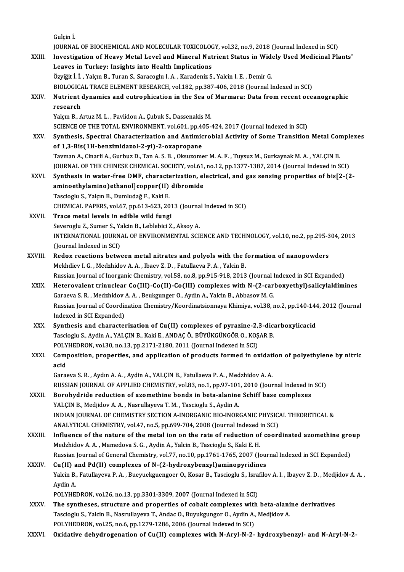|              | Gulçin İ.                                                                                                                                              |
|--------------|--------------------------------------------------------------------------------------------------------------------------------------------------------|
|              | JOURNAL OF BIOCHEMICAL AND MOLECULAR TOXICOLOGY, vol.32, no.9, 2018 (Journal Indexed in SCI)                                                           |
| XXIII.       | Investigation of Heavy Metal Level and Mineral Nutrient Status in Widely Used Medicinal Plants'<br>Leaves in Turkey: Insights into Health Implications |
|              | Özyiğit İ. İ. , Yalçın B., Turan S., Saracoglu I. A. , Karadeniz S., Yalcin I. E. , Demir G.                                                           |
|              | BIOLOGICAL TRACE ELEMENT RESEARCH, vol.182, pp.387-406, 2018 (Journal Indexed in SCI)                                                                  |
| XXIV.        | Nutrient dynamics and eutrophication in the Sea of Marmara: Data from recent oceanographic                                                             |
|              | research                                                                                                                                               |
|              | Yalçın B., Artuz M. L., Pavlidou A., Çubuk S., Dassenakis M.                                                                                           |
|              | SCIENCE OF THE TOTAL ENVIRONMENT, vol.601, pp.405-424, 2017 (Journal Indexed in SCI)                                                                   |
| XXV          | Synthesis, Spectral Characterization and Antimicrobial Activity of Some Transition Metal Complexes<br>of 1,3-Bis(1H-benzimidazol-2-yl)-2-oxapropane    |
|              | Tavman A., Cinarli A., Gurbuz D., Tan A. S. B., Oksuzomer M. A. F., Tuysuz M., Gurkaynak M. A., YALÇIN B.                                              |
|              | JOURNAL OF THE CHINESE CHEMICAL SOCIETY, vol.61, no.12, pp.1377-1387, 2014 (Journal Indexed in SCI)                                                    |
| XXVI.        | Synthesis in water-free DMF, characterization, electrical, and gas sensing properties of bis[2-(2-                                                     |
|              | aminoethylamino) ethanoll copper(II) dibromide                                                                                                         |
|              | Tascioglu S., Yalçın B., Dumludağ F., Kaki E.                                                                                                          |
|              | CHEMICAL PAPERS, vol.67, pp.613-623, 2013 (Journal Indexed in SCI)                                                                                     |
| XXVII.       | Trace metal levels in edible wild fungi                                                                                                                |
|              | Severoglu Z., Sumer S., Yalcin B., Leblebici Z., Aksoy A.                                                                                              |
|              | INTERNATIONAL JOURNAL OF ENVIRONMENTAL SCIENCE AND TECHNOLOGY, vol.10, no.2, pp.295-304, 2013<br>(Journal Indexed in SCI)                              |
| XXVIII.      | Redox reactions between metal nitrates and polyols with the formation of nanopowders                                                                   |
|              | Mekhdiev I. G., Medzhidov A. A., Ibaev Z. D., Fatullaeva P. A., Yalcin B.                                                                              |
|              | Russian Journal of Inorganic Chemistry, vol.58, no.8, pp.915-918, 2013 (Journal Indexed in SCI Expanded)                                               |
| XXIX.        | Heterovalent trinuclear Co(III)-Co(II)-Co(III) complexes with N-(2-carboxyethyl)salicylaldimines                                                       |
|              | Garaeva S. R., Medzhidov A. A., Beukgunger O., Aydin A., Yalcin B., Abbasov M. G.                                                                      |
|              | Russian Journal of Coordination Chemistry/Koordinatsionnaya Khimiya, vol.38, no.2, pp.140-144, 2012 (Journal                                           |
|              | Indexed in SCI Expanded)                                                                                                                               |
| XXX.         | Synthesis and characterization of Cu(II) complexes of pyrazine-2,3-dicarboxylicacid                                                                    |
|              | Tascioglu S., Aydin A., YALÇIN B., Kaki E., ANDAÇ Ö., BÜYÜKGÜNGÖR O., KOŞAR B.                                                                         |
|              | POLYHEDRON, vol.30, no.13, pp.2171-2180, 2011 (Journal Indexed in SCI)                                                                                 |
| XXXI.        | Composition, properties, and application of products formed in oxidation of polyethylene by nitric<br>acid                                             |
|              | Garaeva S. R., Aydın A. A., Aydin A., YALÇIN B., Fatullaeva P. A., Medzhidov A. A.                                                                     |
|              | RUSSIAN JOURNAL OF APPLIED CHEMISTRY, vol.83, no.1, pp.97-101, 2010 (Journal Indexed in SCI)                                                           |
| XXXII.       | Borohydride reduction of azomethine bonds in beta-alanine Schiff base complexes                                                                        |
|              | YALÇIN B., Medjidov A. A., Nasrullayeva T. M., Tascioglu S., Aydin A.                                                                                  |
|              | INDIAN JOURNAL OF CHEMISTRY SECTION A-INORGANIC BIO-INORGANIC PHYSICAL THEORETICAL &                                                                   |
|              | ANALYTICAL CHEMISTRY, vol 47, no 5, pp.699-704, 2008 (Journal Indexed in SCI)                                                                          |
| XXXIII.      | Influence of the nature of the metal ion on the rate of reduction of coordinated azomethine group                                                      |
|              | Medzhidov A. A., Mamedova S. G., Aydin A., Yalcin B., Tascioglu S., Kaki E. H.                                                                         |
|              | Russian Journal of General Chemistry, vol.77, no.10, pp.1761-1765, 2007 (Journal Indexed in SCI Expanded)                                              |
| <b>XXXIV</b> | Cu(II) and Pd(II) complexes of N-(2-hydroxybenzyl) aminopyridines                                                                                      |
|              | Yalcin B., Fatullayeva P. A., Bueyuekguengoer O., Kosar B., Tascioglu S., Israfilov A. I., Ibayev Z. D., Medjidov A. A.,<br>Aydin A.                   |
|              | POLYHEDRON, vol.26, no.13, pp.3301-3309, 2007 (Journal Indexed in SCI)                                                                                 |
| XXXV.        | The syntheses, structure and properties of cobalt complexes with beta-alanine derivatives                                                              |
|              | Tascioglu S., Yalcin B., Nasrullayeva T., Andac O., Buyukgungor O., Aydin A., Medjidov A.                                                              |
|              | POLYHEDRON, vol.25, no.6, pp.1279-1286, 2006 (Journal Indexed in SCI)                                                                                  |
| XXXVI.       | Oxidative dehydrogenation of Cu(II) complexes with N-Aryl-N-2- hydroxybenzyl- and N-Aryl-N-2-                                                          |
|              |                                                                                                                                                        |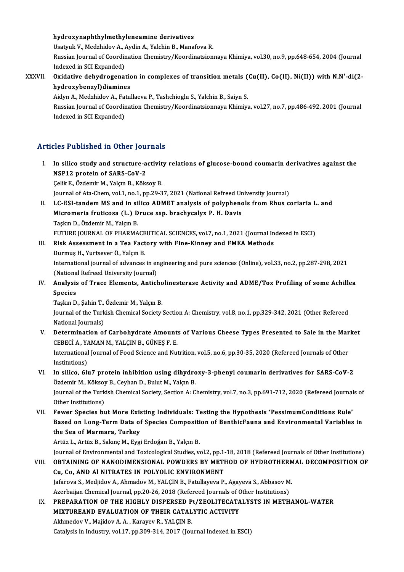#### hydroxynaphthylmethyleneamine derivatives

hydroxynaphthylmethyleneamine derivatives<br>Usatyuk V., Medzhidov A., Aydin A., Yalchin B., Manafova R.<br>Pussian Journal of Coordination Chamistry (Koordinatsion

Russian Journal of Coordination Chemistry/Koordinatsionnaya Khimiya, vol.30, no.9, pp.648-654, 2004 (Journal Indexed in SCI Expanded) Usatyuk V., Medzhidov A., *I*<br>Russian Journal of Coordin<br>Indexed in SCI Expanded)<br>Ovidative debydnogenes Russian Journal of Coordination Chemistry/Koordinatsionnaya Khimiya, vol.30, no.9, pp.648-654, 2004 (Journal<br>Indexed in SCI Expanded)<br>XXXVII. Oxidative dehydrogenation in complexes of transition metals (Cu(II), Co(II), Ni(

Indexed in SCI Expanded)<br>Oxidative dehydrogenatic<br>hydroxybenzyl)diamines<br>Aidyn A. Medybidov A. Fatul Oxidative dehydrogenation in complexes of transition metals (<br>hydroxybenzyl)diamines<br>Aidyn A., Medzhidov A., Fatullaeva P., Tashchioglu S., Yalchin B., Saiyn S.<br>Pussian Journal of Coordination Chamistry (Koordinatsionnaya

hydroxybenzyl)diamines<br>Aidyn A., Medzhidov A., Fatullaeva P., Tashchioglu S., Yalchin B., Saiyn S.<br>Russian Journal of Coordination Chemistry/Koordinatsionnaya Khimiya, vol.27, no.7, pp.486-492, 2001 (Journal<br>Indexed in SCI Aidyn A., Medzhidov A., Fa<br>Russian Journal of Coordir<br>Indexed in SCI Expanded)

### Articles Published in Other Journals

I. In silico study and structure-activity relations of glucose-bound coumarin derivatives against the NSP12 protein of SARS-CoV-2

Çelik E., Özdemir M., Yalçın B., Köksoy B.

Journal of Ata-Chem, vol.1, no.1, pp.29-37, 2021 (National Refreed University Journal)

Celik E., Özdemir M., Yalçın B., Köksoy B.<br>Journal of Ata-Chem, vol.1, no.1, pp.29-37, 2021 (National Refreed University Journal)<br>II. LC-ESI-tandem MS and in silico ADMET analysis of polyphenols from Rhus coriaria L. and<br>M Journal of Ata-Chem, vol.1, no.1, pp.29-37, 2021 (National Refreed Ur<br>LC-ESI-tandem MS and in silico ADMET analysis of polyphenc<br>Micromeria fruticosa (L.) Druce ssp. brachycalyx P. H. Davis<br>Teslup D. Özdemir M. Valem B LC-ESI-tandem MS and in si<br>Micromeria fruticosa (L.) D<br>Taşkın D., Özdemir M., Yalçın B.<br>EUTURE JOURNAL OF PHARMA Micromeria fruticosa (L.) Druce ssp. brachycalyx P. H. Davis<br>Taşkın D., Özdemir M., Yalçın B.<br>FUTURE JOURNAL OF PHARMACEUTICAL SCIENCES, vol.7, no.1, 2021 (Journal Indexed in ESCI)

- III. Risk Assessment in a Tea Factory with Fine-Kinney and FMEA Methods DurmuşH.,YurtseverÖ.,YalçınB. Risk Assessment in a Tea Factory with Fine-Kinney and FMEA Methods<br>Durmuş H., Yurtsever Ö., Yalçın B.<br>International journal of advances in engineering and pure sciences (Online), vol.33, no.2, pp.287-298, 2021<br>(National Be Durmuş H., Yurtsever Ö., Yalçın B.<br>International journal of advances in er<br>(National Refreed University Journal)<br>Analysis of Trace Flaments, Antick International journal of advances in engineering and pure sciences (Online), vol.33, no.2, pp.287-298, 2021<br>(National Refreed University Journal)<br>IV. Analysis of Trace Elements, Anticholinesterase Activity and ADME/Tox Pro
- (National Refreed University Journal)<br>Analysis of Trace Elements, Anticho<br>Species<br>Taskın D., Sahin T., Özdemir M., Yalcın B. IV. Analysis of Trace Elements, Anticholinesterase Activity and ADME/Tox Profiling of some Achillea

Journal of the Turkish Chemical Society Section A: Chemistry, vol.8, no.1, pp.329-342, 2021 (Other Refereed National Journals) Journal of the Turkish Chemical Society Section A: Chemistry, vol.8, no.1, pp.329-342, 2021 (Other Refereed<br>National Journals)<br>V. Determination of Carbohydrate Amounts of Various Cheese Types Presented to Sale in the Marke

- National Journals)<br>Determination of Carbohydrate Amount:<br>CEBECİ A., YAMAN M., YALÇIN B., GÜNEŞ F. E.<br>International Journal of Eood Science and Nut Determination of Carbohydrate Amounts of Various Cheese Types Presented to Sale in the Mar<br>CEBECİ A., YAMAN M., YALÇIN B., GÜNEŞ F. E.<br>International Journal of Food Science and Nutrition, vol.5, no.6, pp.30-35, 2020 (Refer CEBECİ A., YAMAN M., YALÇIN B., GÜNEŞ F. E.<br>International Journal of Food Science and Nutrition, vol.5, no.6, pp.30-35, 2020 (Refereed Journals of Other<br>Institutions) International Journal of Food Science and Nutrition, vol.5, no.6, pp.30-35, 2020 (Refereed Journals of Other<br>Institutions)<br>VI. In silico, 6lu7 protein inhibition using dihydroxy-3-phenyl coumarin derivatives for SARS-CoV-2
- Institutions)<br>In silico, 6lu7 protein inhibition using dihydro<br>Özdemir M., Köksoy B., Ceyhan D., Bulut M., Yalçın B.<br>Journal of the Turkish Chemisal Sosiety, Sestion A. C Journal of the Turkish Chemical Society, Section A: Chemistry, vol.7, no.3, pp.691-712, 2020 (Refereed Journals of Other Institutions) Özdemir M., Köksoy B., Ceyhan D., Bulut M., Yalçın B. Journal of the Turkish Chemical Society, Section A: Chemistry, vol.7, no.3, pp.691-712, 2020 (Refereed Journal<br>Other Institutions)<br>VII. Fewer Species but More Existing Individuals: Testing the Hypothesis 'PessimumCondition
- Other Institutions)<br>Fewer Species but More Existing Individuals: Testing the Hypothesis 'PessimumConditions Rule'<br>Based on Long-Term Data of Species Composition of BenthicFauna and Environmental Variables in<br>the See of Mar Fewer Species but More Exis<br>Based on Long-Term Data of<br>the Sea of Marmara, Turkey<br>Artin L. Artin B. Solme M. Evgi Based on Long-Term Data of Species Composition of BenthicFauna and Environmental Variables in<br>the Sea of Marmara, Turkey<br>Artüz L., Artüz B., Sakınç M., Eygi Erdoğan B., Yalçın B.

Journal of Environmental and Toxicological Studies, vol.2, pp.1-18, 2018 (Refereed Journals of Other Institutions) Artüz L., Artüz B., Sakınç M., Eygi Erdoğan B., Yalçın B.<br>Journal of Environmental and Toxicological Studies, vol.2, pp.1-18, 2018 (Refereed Journals of Other Institutions)<br>VIII. OBTAINING OF NANODIMENSIONAL POWDERS BY Cu, Co, AND Al NITRATES IN POLYOLIC ENVIRONMENT OBTAINING OF NANODIMENSIONAL POWDERS BY METHOD OF HYDROTHERM<br>Cu, Co, AND Al NITRATES IN POLYOLIC ENVIRONMENT<br>Jafarova S., Medjidov A., Ahmadov M., YALÇIN B., Fatullayeva P., Agayeva S., Abbasov M.<br>Arexbajion Chamical Journ

Jafarova S., Medjidov A., Ahmadov M., YALÇIN B., Fatullayeva P., Agayeva S., Abbasov M.<br>Azerbaijan Chemical Journal, pp.20-26, 2018 (Refereed Journals of Other Institutions) Jafarova S., Medjidov A., Ahmadov M., YALÇIN B., Fatullayeva P., Agayeva S., Abbasov M.<br>Azerbaijan Chemical Journal, pp.20-26, 2018 (Refereed Journals of Other Institutions)<br>IX. PREPARATION OF THE HIGHLY DISPERSED Pt/ZEOLI

Azerbaijan Chemical Journal, pp.20-26, 2018 (Refereed Journals of C<br>PREPARATION OF THE HIGHLY DISPERSED Pt/ZEOLITECATA<br>MIXTUREAND EVALUATION OF THEIR CATALYTIC ACTIVITY PREPARATION OF THE HIGHLY DISPERSED P<br>MIXTUREAND EVALUATION OF THEIR CATAL<br>Akhmedov V., Majidov A. A. , Karayev R., YALÇIN B.<br>Catalysis in Industry, vol.17, pp.200,214,2017 (Jou MIXTUREAND EVALUATION OF THEIR CATALYTIC ACTIVITY<br>Akhmedov V., Majidov A. A. , Karayev R., YALÇIN B.<br>Catalysis in Industry, vol.17, pp.309-314, 2017 (Journal Indexed in ESCI)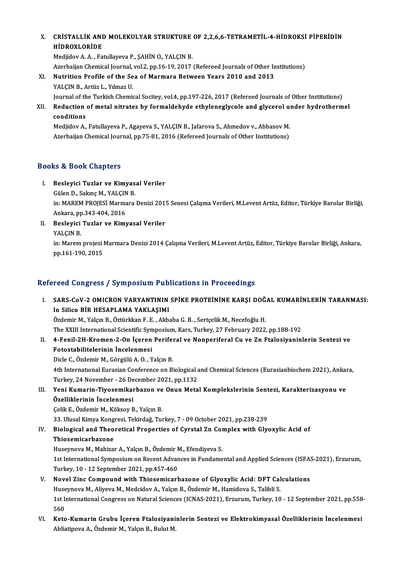### X. CRİSTALLİK AND MOLEKULYAR STRUKTURE OF 2,2,6,6-TETRAMETİL-4-HİDROKSİ PİPERİDİN HİDROXLORİDE<br>Medjidov A. A. , Fatullayeva P., SAHİN O., YALCIN B. CRİSTALLİK AND MOLEKULYAR STRUKTURE<br>HİDROXLORİDE<br>Medjidov A.A., Fatullayeva P., ŞAHİN O., YALÇIN B.<br>Azərbajion Chamisəl Journal vəl 3-nn 16-19-2017 HİDROXLORİDE<br>Medjidov A. A. , Fatullayeva P., ŞAHİN O., YALÇIN B.<br>Azerbaijan Chemical Journal, vol.2, pp.16-19, 2017 (Refereed Journals of Other Institutions)<br>Nutrition Prafile of the See of Mormane Between Years 2010 and

- Medjidov A. A. , Fatullayeva P., ŞAHİN O., YALÇIN B.<br>Azerbaijan Chemical Journal, vol.2, pp.16-19, 2017 (Refereed Journals of Other Ir<br>XI. Nutrition Profile of the Sea of Marmara Between Years 2010 and 2013<br>XALGIN B. Artüz Azerbaijan Chemical Journal,<br>Nutrition Profile of the Se<br>YALÇIN B., Artüz L., Yılmaz U.<br>Journal of the Turkish Chemi Nutrition Profile of the Sea of Marmara Between Years 2010 and 2013<br>YALÇIN B., Artüz L., Yılmaz U.<br>Journal of the Turkish Chemical Socitey, vol.4, pp.197-226, 2017 (Refereed Journals of Other Institutions)<br>Reduction of met
- YALÇIN B., Artüz L., Yılmaz U.<br>Journal of the Turkish Chemical Socitey, vol.4, pp.197-226, 2017 (Refereed Journals of Other Institutions)<br>XII. Reduction of metal nitrates by formaldehyde ethyleneglycole and glycerol un Journal of th<br>Reduction<br>conditions<br>Mediidov A

Reduction of metal nitrates by formaldehyde ethyleneglycole and glycerol us<br>conditions<br>Medjidov A., Fatullayeva P., Agayeva S., YALÇIN B., Jafarova S., Ahmedov v., Abbasov M.<br>Agarbajian Chamical Journal, pp.75, 81, 2016 (R conditions<br>Medjidov A., Fatullayeva P., Agayeva S., YALÇIN B., Jafarova S., Ahmedov v., Abbasov M.<br>Azerbaijan Chemical Journal, pp.75-81, 2016 (Refereed Journals of Other Institutions)

### Books&Book Chapters

ooks & Book Chapters<br>I. Besleyici Tuzlar ve Kimyasal Veriler<br>Cülen D. Saluna M. YALCIN B E Gülen Onapesis<br>Besleyici Tuzlar ve Kimyas<br>Gülen D., Sakınç M., YALÇIN B.

Besleyici Tuzlar ve Kimyasal Veriler<br>Gülen D., Sakınç M., YALÇIN B.<br>in: MAREM PROJESİ Marmara Denizi 2015 Senesi Çalışma Verileri, M.Levent Artüz, Editor, Türkiye Barolar Birliği, Gülen D., Sakınç M., YALÇIN<br>in: MAREM PROJESİ Marma<br>Ankara, pp.343-404, 2016<br>Boslevisi Turlar ve Kimı in: MAREM PROJESİ Marmara Denizi 201.<br>Ankara, pp.343-404, 2016<br>II. Besleyici Tuzlar ve Kimyasal Veriler<br>VALCIN B

Ankara, p<mark>p</mark><br>Besleyici<br>YALÇIN B.<br>in: Maram Besleyici Tuzlar ve Kimyasal Veriler<br>YALÇIN B.<br>in: Marem projesi Marmara Denizi 2014 Çalışma Verileri, M.Levent Artüz, Editor, Türkiye Barolar Birliği, Ankara,<br>nn 161 190 2015 YALÇIN B.<br>in: Marem projesi l<br>pp.161-190, 2015

# pp.161-190, 2015<br>Refereed Congress / Symposium Publications in Proceedings

efereed Congress / Symposium Publications in Proceedings<br>I. SARS-CoV-2 OMICRON VARYANTININ SPİKE PROTEİNİNE KARŞI DOĞAL KUMARİNLERİN TARANMASI:<br>In Silice PİR HESARI AMA YAKI ASIMI ISSA SONGI SONGI DIŞIMPODININ INDI<br>In Silico BİR HESAPLAMA YAKLAŞIMI<br>Özdəmir M. Yakın B. Öztürlikan E. E., Alta SARS-CoV-2 OMICRON VARYANTININ SPİKE PROTEİNİNE KARŞI DOĞ.<br>In Silico BİR HESAPLAMA YAKLAŞIMI<br>Özdemir M., Yalçın B., Öztürkkan F. E. , Akbaba G. B. , Sertçelik M., Necefoğlu H.<br>The YVIII International Scientific Sumnegium In Silico BİR HESAPLAMA YAKLAŞIMI<br>Özdemir M., Yalçın B., Öztürkkan F. E. , Akbaba G. B. , Sertçelik M., Necefoğlu H.<br>The XXIII International Scientific Symposium, Kars, Turkey, 27 February 2022, pp.188-192<br>4. Fenil 2H. Kro Özdemir M., Yalçın B., Öztürkkan F. E. , Akbaba G. B. , Sertçelik M., Necefoğlu H.<br>The XXIII International Scientific Symposium, Kars, Turkey, 27 February 2022, pp.188-192<br>II. 4-Fenil-2H-Kromen-2-On İçeren Periferal ve Non The XXIII International Scientific Syn<br>4-Fenil-2H-Kromen-2-On İçeren<br>Fotostabilitelerinin İncelenmesi<br>Piele G Ördemin M. Görgülü A.Q. V 4-Fenil-2H-Kromen-2-On İçeren Perifel<br>Fotostabilitelerinin İncelenmesi<br>Dicle C., Özdemir M., Görgülü A. O. , Yalçın B.<br>4th International Euresian Conferense en Bi Fotostabilitelerinin İncelenmesi<br>Dicle C., Özdemir M., Görgülü A. O. , Yalçın B.<br>4th International Eurasian Conference on Biological and Chemical Sciences (Eurasianbiochem 2021), Ankara,<br>Turkay, 24 November, 26 Desember 20 Dicle C., Özdemir M., Görgülü A. O. , Yalçın B.<br>4th International Eurasian Conference on Biological a<br>Turkey, 24 November - 26 December 2021, pp.1132<br>Yoni Kumarin Tivosamikarbazan ve Onun Mata 4th International Eurasian Conference on Biological and Chemical Sciences (Eurasianbiochem 2021), Ankai<br>Turkey, 24 November - 26 December 2021, pp.1132<br>III. Yeni Kumarin-Tiyosemikarbazon ve Onun Metal Komplekslerinin Sente Turkey, 24 November - 26 De<br>Yeni Kumarin-Tiyosemikaı<br>Özelliklerinin İncelenmesi Yeni Kumarin-Tiyosemikarbazon ve<br>Özelliklerinin İncelenmesi<br>Çelik E., Özdemir M., Köksoy B., Yalçın B.<br><sup>22. Hlucel Kimua Kongresi Tekirdeğ Tu</sup> Özelliklerinin İncelenmesi<br>Çelik E., Özdemir M., Köksoy B., Yalçın B.<br>33. Ulusal Kimya Kongresi, Tekirdağ, Turkey, 7 - 09 October 2021, pp.238-239<br>Biologiaal and Theoratical Bronortias of Gurstal Zn Complex with Gly Celik E., Özdemir M., Köksoy B., Yalçın B.<br>33. Ulusal Kimya Kongresi, Tekirdağ, Turkey, 7 - 09 October 2021, pp.238-239<br>IV. Biological and Theoretical Properties of Cyrstal Zn Complex with Glyoxylic Acid of<br>Thiosemicarbazo 33. Ulusal Kimya Kong<br>Biological and Theo<br>Thiosemicarbazone<br><sup>Huggymove M.</sup> Mahira

Biological and Theoretical Properties of Cyrstal Zn Col<br>Thiosemicarbazone<br>Huseynova M., Mahizar A., Yalçın B., Özdemir M., Efendiyeva S.<br>1st International Symnesium on Becent Advances in Eundame 1st International Symposium on Recent Advances in Fundamental and Applied Sciences (ISFAS-2021), Erzurum,<br>Turkey, 10 - 12 September 2021, pp.457-460 Huseynova M., Mahizar A., Yalçın B., Özdemir M<br>1st International Symposium on Recent Advar<br>Turkey, 10 - 12 September 2021, pp.457-460<br>Novel Zing Compound with Thiosomicark 1st International Symposium on Recent Advances in Fundamental and Applied Sciences (ISFA:<br>Turkey, 10 - 12 September 2021, pp.457-460<br>V. Novel Zinc Compound with Thiosemicarbazone of Glyoxylic Acid: DFT Calculations<br>Hugarno

- Turkey, 10 12 September 2021, pp.457-460<br>Novel Zinc Compound with Thiosemicarbazone of Glyoxylic Acid: DFT Cal<br>Huseynova M., Aliyeva M., Medcidov A., Yalçın B., Özdemir M., Hamidova S., Talibli S.<br>1st International Congr 1st International Congress on Natural Sciences (ICNAS-2021), Erzurum, Turkey, 10 - 12 September 2021, pp.558-<br>560 Huseynova M., Aliyeva M., Medcidov A., Yalçın B., Özdemir M., Hamidova S., Talibli S. 1st International Congress on Natural Sciences (ICNAS-2021), Erzurum, Turkey, 10 - 12 September 2021, pp.558<br>560<br>VI. Keto-Kumarin Grubu İçeren Ftalosiyaninlerin Sentezi ve Elektrokimyasal Özelliklerinin İncelenmesi<br>Ablisti
- 560<br><mark>Keto-Kumarin Grubu İçeren Ftalosiyani</mark><br>Abliatipova A., Özdemir M., Yalçın B., Bulut M.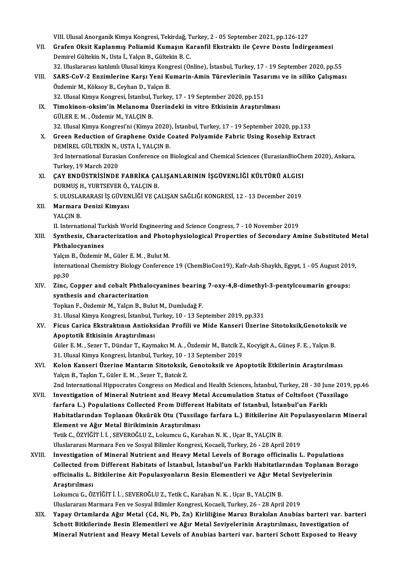VIII. Ulusal Anorganik Kimya Kongresi, Tekirdağ, Turkey, 2 - 05 September 2021, pp.126-127<br>Cuafan Oksit Kanlanmus Boliamid Kumasın Kananfil Ekstraktı ile Geyre Destu İndiya

- VII. Grafen Oksit Kaplanmış Poliamid Kumaşın Karanfil Ekstraktı ile Çevre Dostu İndirgenmesi<br>Demirel Gültekin N., Usta İ., Yalçın B., Gültekin B. C. VIII. Ulusal Anorganik Kimya Kongresi, Tekirdağ, T<br>Grafen Oksit Kaplanmış Poliamid Kumaşın Ka<br>Demirel Gültekin N., Usta İ., Yalçın B., Gültekin B. C.<br>22. Uluslararesı katılımlı Ulusal kimya Kongresi (O Grafen Oksit Kaplanmış Poliamid Kumaşın Karanfil Ekstraktı ile Çevre Dostu İndirgenmesi<br>Demirel Gültekin N., Usta İ., Yalçın B., Gültekin B. C.<br>32. Uluslararası katılımlı Ulusal kimya Kongresi (Online), İstanbul, Turkey, 1 Demirel Gültekin N., Usta İ., Yalçın B., Gültekin B. C.<br>32. Uluslararası katılımlı Ulusal kimya Kongresi (Online), İstanbul, Turkey, 17 - 19 September 2020, pp.55<br>VIII. SARS-CoV-2 Enzimlerine Karşı Yeni Kumarin-Amin Tü
- 32. Uluslararası katılımlı Ulusal kimya Kong<br>SARS-CoV-2 Enzimlerine Karşı Yeni Kı<br>Özdemir M., Köksoy B., Ceyhan D., Yalçın B.<br><sup>22. Ulusal Kimya Kongresi, İstanbul Turkov</sub></sup> SARS-CoV-2 Enzimlerine Karşı Yeni Kumarin-Amin Türevlerinin Tasa<br>Özdemir M., Köksoy B., Ceyhan D., Yalçın B.<br>32. Ulusal Kimya Kongresi, İstanbul, Turkey, 17 - 19 September 2020, pp.151<br>Timokinon oksim'in Malanoma Üzerindek
	- 32. Ulusal Kimya Kongresi, İstanbul, Turkey, 17 19 September 2020, pp.151
- Özdemir M., Köksoy B., Ceyhan D., Yalçın B.<br>32. Ulusal Kimya Kongresi, İstanbul, Turkey, 17 19 September 2020, pp.151<br>IX. Timokinon-oksim'in Melanoma Üzerindeki in vitro Etkisinin Araştırılması<br>GÜLER E. M., Özdemir M Timokinon-oksim'in Melanoma Üzerindeki in vitro Etkisinin Araştırılması<br>GÜLER E. M. , Özdemir M., YALÇIN B.<br>32. Ulusal Kimya Kongresi'ni (Kimya 2020), İstanbul, Turkey, 17 - 19 September 2020, pp.133<br>Creen Bedustien of Cre
- X. Green Reduction of Graphene Oxide Coated Polyamide Fabric Using Rosehip Extract 32. Ulusal Kimya Kongresi'ni (Kimya 2020)<br>Green Reduction of Graphene Oxide C<br>DEMİREL GÜLTEKİN N., USTA İ., YALÇIN B.<br><sup>2nd</sup> International Eurosian Conference en l 3rd International Eurasian Conference on Biological and Chemical Sciences (EurasianBioChem 2020), Ankara, Turkey,19March 2020 3rd International Eurasian Conference on Biological and Chemical Sciences (EurasianBioCh<br>Turkey, 19 March 2020<br>XI. CAY ENDÜSTRİSİNDE FABRİKA ÇALIŞANLARININ İŞGÜVENLİĞİ KÜLTÜRÜ ALGISI<br>DUPMUS HAVIPTSEVER ÖLMELER
- Turkey, 19 March 2020<br>ÇAY ENDÜSTRİSİNDE FABRİKA ÇA<br>DURMUŞ H., YURTSEVER Ö., YALÇIN B.<br>E. IILUSLARARASI İS ÇÜVENLİĞİ VE ÇA ÇAY ENDÜSTRİSİNDE FABRİKA ÇALIŞANLARININ İŞGÜVENLİĞİ KÜLTÜRÜ ALGISI<br>DURMUŞ H., YURTSEVER Ö., YALÇIN B.<br>5. ULUSLARARASI İŞ GÜVENLİĞİ VE ÇALIŞAN SAĞLIĞI KONGRESİ, 12 - 13 December 2019<br>Marmara Danisi Kimuacı DURMUŞ H., YURTSEVER Ö., YALÇIN B.<br>5. ULUSLARARASI İŞ GÜVENLİĞİ VE ÇA<br>XII. Marmara Denizi Kimyası<br>YALÇIN B. 5. ULUSLARARASI İŞ GÜVENLİĞİ VE ÇALIŞAN SAĞLIĞI KONGRESİ, 12 - 13 December 2019
- 

Marmara Denizi Kimyası<br>YALÇIN B.<br>II. International Turkish World Engineering and Science Congress, 7 - 10 November 2019<br>Synthesis, Characterisation and Photophysiological Properties of Secondary Ar

### XIII. Synthesis, Characterization and Photophysiological Properties of Secondary Amine Substituted Metal<br>Phthalocyanines II. International Tu:<br>Synthesis, Chara<br>Phthalocyanines<br><sup>Valem B.</sup> Özdemir l Synthesis, Characterization and Photo<br>Phthalocyanines<br>Yalçın B., Özdemir M., Güler E. M. , Bulut M.<br>International Chamistry Biology Conferenc

Phthalocyanines<br>Yalçın B., Özdemir M., Güler E. M. , Bulut M.<br>International Chemistry Biology Conference 19 (ChemBioCon19), Kafr-Ash-Shaykh, Egypt, 1 - 05 August 2019,<br>nn <sup>20</sup>. Yalçın<br>Intern<br>pp.30<br>Zinc International Chemistry Biology Conference 19 (ChemBioCon19), Kafr-Ash-Shaykh, Egypt, 1 - 05 August 201<br>pp.30<br>XIV. Zinc, Copper and cobalt Phthalocyanines bearing 7-oxy-4,8-dimethyl-3-pentylcoumarin groups:<br>synthesis and s

## pp.30<br>Zinc, Copper and cobalt Phthale<br>synthesis and characterization<br>Tenkan E. Özdemir M. Velem B. Bu Zinc, Copper and cobalt Phthalocyanines bearing<br>synthesis and characterization<br>Topkan F., Özdemir M., Yalçın B., Bulut M., Dumludağ F.<br>21. Ulucal Kimus Kongresi, İstanbul Turkey 10, 12 Sei <mark>synthesis and characterization</mark><br>Topkan F., Özdemir M., Yalçın B., Bulut M., Dumludağ F.<br>31. Ulusal Kimya Kongresi, İstanbul, Turkey, 10 - 13 September 2019, pp.331<br>Figue Corice Ekstraktının Antioksiden Profili ve Mide Kon

## Topkan F., Özdemir M., Yalçın B., Bulut M., Dumludağ F.<br>31. Ulusal Kimya Kongresi, İstanbul, Turkey, 10 - 13 September 2019, pp.331<br>XV. Ficus Carica Ekstraktının Antioksidan Profili ve Mide Kanseri Üzerine Sitotoksik,Gen 31. Ulusal Kimya Kongresi, İstanbul, T<br>Ficus Carica Ekstraktının Antioks<br>Apoptotik Etkisinin Araştırılması<br>Güler E.M., Serer T. Dünder T. Keym Ficus Carica Ekstraktının Antioksidan Profili ve Mide Kanseri Üzerine Sitotoksik,Genotoksil<br>Apoptotik Etkisinin Araştırılması<br>Güler E. M. , Sezer T., Dündar T., Kaymakcı M. A. , Özdemir M., Batcik Z., Kocyigit A., Güneş F.

Apoptotik Etkisinin Araştırılması<br>Güler E. M. , Sezer T., Dündar T., Kaymakcı M. A. , Özdemir M., Batcik Z.<br>31. Ulusal Kimya Kongresi, İstanbul, Turkey, 10 - 13 September 2019<br>Kolon Kanseri Üzerine Manterup Siteteksik, Gen Güler E. M. , Sezer T., Dündar T., Kaymakcı M. A. , Özdemir M., Batcik Z., Kocyigit A., Güneş F. E. , Yalçın B.<br>31. Ulusal Kimya Kongresi, İstanbul, Turkey, 10 - 13 September 2019<br>XVI. Kolon Kanseri Üzerine Mantarın Sitoto

### 31. Ulusal Kimya Kongresi, İstanbul, Turkey, 10 -<br>**Kolon Kanseri Üzerine Mantarın Sitotoksik,**<br>Yalçın B., Taşkın T., Güler E. M. , Sezer T., Batcık Z.<br>2nd International Hinnesystes Consysses on Medi Kolon Kanseri Üzerine Mantarın Sitotoksik, Genotoksik ve Apoptotik Etkilerinin Araştırılması<br>Yalçın B., Taşkın T., Güler E. M. , Sezer T., Batcık Z.<br>2nd International Hippocrates Congress on Medical and Health Sciences, İs Yalçın B., Taşkın T., Güler E. M. , Sezer T., Batcık Z.<br>2nd International Hippocrates Congress on Medical and Health Sciences, İstanbul, Turkey, 28 - 30 June 2019, pp.46<br>2011. Investigation of Mineral Nutrient and Heavy

2nd International Hippocrates Congress on Medical and Health Sciences, İstanbul, Turkey, 28 - 30 Ju<br>Investigation of Mineral Nutrient and Heavy Metal Accumulation Status of Coltsfoot (Tu:<br>farfara L.) Populations Collected Habitatlarından Toplanan Öksürük Otu (Tussilago farfara L.) Bitkilerine Ait Populasyonların Mineral<br>Element ve Ağır Metal Birikiminin Araştırılması farfara L.) Populations Collected From Differen<br>Habitatlarından Toplanan Öksürük Otu (Tussila<br>Element ve Ağır Metal Birikiminin Araştırılması<br>Tetik Gözviğini il. SEVEROğluz, Lokumay G. Kar

Tetik C., ÖZYİĞİT İ. İ., SEVEROĞLU Z., Lokumcu G., Karahan N. K., Uçar B., YALÇIN B.

Uluslararası Marmara Fen ve Sosyal Bilimler Kongresi, Kocaeli, Turkey, 26 - 28 April 2019

Tetik C., ÖZYİĞİT İ. İ. , SEVEROĞLU Z., Lokumcu G., Karahan N. K. , Uçar B., YALÇIN B.<br>Uluslararası Marmara Fen ve Sosyal Bilimler Kongresi, Kocaeli, Turkey, 26 - 28 April 2019<br>XVIII. Investigation of Mineral Nutrient and Uluslararası Marmara Fen ve Sosyal Bilimler Kongresi, Kocaeli, Turkey, 26 - 28 April 2019<br>Investigation of Mineral Nutrient and Heavy Metal Levels of Borago officinalis L. Populations<br>Collected from Different Habitats of İ Investigation of Mineral Nutrient and Heavy Metal Levels of Borago officinalis L. Population<br>Collected from Different Habitats of İstanbul, İstanbul'un Farklı Habitatlarından Toplanan<br>officinalis L. Bitkilerine Ait Populas Collected from<br>officinalis L.<br>Araştırılması<br>Lekumav G. Ö<sup>5</sup> officinalis L. Bitkilerine Ait Populasyonların Besin Elementleri ve Ağır Metal Seviyelerinin<br>Araştırılması<br>Lokumcu G., ÖZYİĞİT İ. İ. , SEVEROĞLU Z., Tetik C., Karahan N. K. , Uçar B., YALÇIN B.

UluslararasıMarmara Fenve SosyalBilimlerKongresi,Kocaeli,Turkey,26 -28April2019

XIX. Yapay Ortamlarda Ağır Metal (Cd, Ni, Pb, Zn) Kirliliğine Maruz Bırakılan Anubias barteri var. barteri Uluslararası Marmara Fen ve Sosyal Bilimler Kongresi, Kocaeli, Turkey, 26 - 28 April 2019<br>Yapay Ortamlarda Ağır Metal (Cd, Ni, Pb, Zn) Kirliliğine Maruz Bırakılan Anubias barteri var. b.<br>Schott Bitkilerinde Besin Elementle Yapay Ortamlarda Ağır Metal (Cd, Ni, Pb, Zn) Kirliliğine Maruz Bırakılan Anubias barteri var. bart<br>Schott Bitkilerinde Besin Elementleri ve Ağır Metal Seviyelerinin Araştırılması, Investigation of<br>Mineral Nutrient and Heav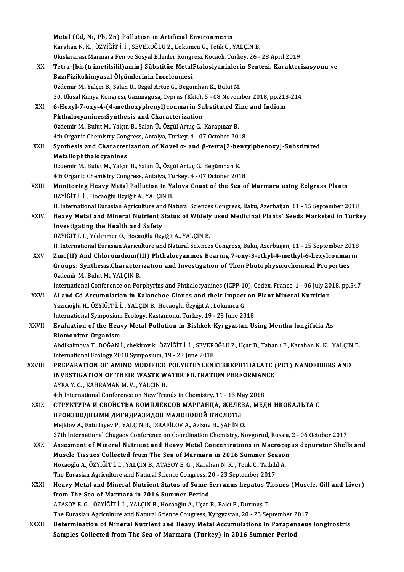|              | Metal (Cd, Ni, Pb, Zn) Pollution in Artificial Environments                                                       |
|--------------|-------------------------------------------------------------------------------------------------------------------|
|              | Karahan N. K., ÖZYİĞİT İ. İ., SEVEROĞLU Z., Lokumcu G., Tetik C., YALÇIN B.                                       |
|              | Uluslararası Marmara Fen ve Sosyal Bilimler Kongresi, Kocaeli, Turkey, 26 - 28 April 2019                         |
| XX.          | Tetra-[bis(trimetilsilil) amin] Sübstitüe MetalFtalosiyaninlerin Sentezi, Karakterizasyonu ve                     |
|              | BazıFizikokimyasal Ölçümlerinin İncelenmesi                                                                       |
|              | Özdemir M., Yalçın B., Salan Ü., Özgül Artuç G., Begümhan K., Bulut M.                                            |
|              | 30. Ulusal Kimya Kongresi, Gazimagusa, Cyprus (Kktc), 5 - 08 November 2018, pp.213-214                            |
| XXI.         | 6-Hexyl-7-oxy-4-(4-methoxyphenyl) coumarin Substituted Zinc and Indium                                            |
|              | Phthalocyanines: Synthesis and Characterization                                                                   |
|              | Özdemir M., Bulut M., Yalçın B., Salan Ü., Özgül Artuç G., Karapınar B.                                           |
|              | 4th Organic Chemistry Congress, Antalya, Turkey, 4 - 07 October 2018                                              |
| XXII.        | Synthesis and Characterization of Novel a- and $\beta$ -tetra[2-benzylphenoxy]-Substituted                        |
|              | Metallophthalocyanines                                                                                            |
|              | Özdemir M., Bulut M., Yalçın B., Salan Ü., Özgül Artuç G., Begümhan K.                                            |
|              | 4th Organic Chemistry Congress, Antalya, Turkey, 4 - 07 October 2018                                              |
| XXIII.       | Monitoring Heavy Metal Pollution in Yalova Coast of the Sea of Marmara using Eelgrass Plants                      |
|              | ÖZYİĞİT İ. İ., Hocaoğlu Özyiğit A., YALÇIN B.                                                                     |
|              | II. International Eurasian Agriculture and Natural Sciences Congress, Baku, Azerbaijan, 11 - 15 September 2018    |
| XXIV.        | Heavy Metal and Mineral Nutrient Status of Widely used Medicinal Plants' Seeds Marketed in Turkey                 |
|              | Investigating the Health and Safety                                                                               |
|              | ÖZYİĞİT İ. İ. , Yıldırımer O., Hocaoğlu Özyiğit A., YALÇIN B.                                                     |
|              | II. International Eurasian Agriculture and Natural Sciences Congress, Baku, Azerbaijan, 11 - 15 September 2018    |
| XXV.         | Zinc(II) And Chloroindium(III) Phthalocyanines Bearing 7-oxy-3-ethyl-4-methyl-6-hexylcoumarin                     |
|              | Groups: Synthesis, Characterization and Investigation of TheirPhotophysicochemical Properties                     |
|              | Özdemir M., Bulut M., YALÇIN B.                                                                                   |
|              | International Conference on Porphyrins and Phthalocyanines (ICPP-10), Cedex, France, 1 - 06 July 2018, pp.547     |
| XXVI.        | Al and Cd Accumulation in Kalanchoe Clones and their Impact on Plant Mineral Nutrition                            |
|              | Yazıcıoğlu H., ÖZYİĞİT İ. İ., YALÇIN B., Hocaoğlu Özyiğit A., Lokumcu G.                                          |
|              | International Symposium Ecology, Kastamonu, Turkey, 19 - 23 June 2018                                             |
| <b>XXVII</b> | Evaluation of the Heavy Metal Pollution in Bishkek-Kyrgyzstan Using Mentha longifolia As                          |
|              | <b>Biomonitor Organism</b>                                                                                        |
|              | Abdikaimova T., DOĞAN İ., chekirov k., ÖZYİĞİT İ. İ., SEVEROĞLU Z., Uçar B., Tabanlı F., Karahan N. K., YALÇIN B. |
|              | International Ecology 2018 Symposium, 19 - 23 June 2018                                                           |
| XXVIII.      | PREPARATION OF AMINO MODIFIED POLYETHYLENETEREPHTHALATE (PET) NANOFIBERS AND                                      |
|              | <b>INVESTIGATION OF THEIR WASTE WATER FILTRATION PERFORMANCE</b><br>AYRA Y. C., KAHRAMAN M. V., YALÇIN B.         |
|              | 4th International Conference on New Trends in Chemistry, 11 - 13 May 2018                                         |
| XXIX.        | СТРУКТУРА И СВОЙСТВА КОМПЛЕКСОВ МАРГАНЦА, ЖЕЛЕЗА, МЕДИ ИКОБАЛЬТА С                                                |
|              | ПРОИЗВОДНЫМИ ДИГИДРАЗИДОВ МАЛОНОВОЙ КИСЛОТЫ                                                                       |
|              | Mejidov A., Fatullayev P., YALÇIN B., İSRAFİLOV A., Azizov H., ŞAHİN O.                                           |
|              | 27th International Chugaev Conference on Coordination Chemistry, Novgorod, Russia, 2 - 06 October 2017            |
| XXX.         | Assesment of Mineral Nutrient and Heavy Metal Concentrations in Macropipus depurator Shells and                   |
|              | Muscle Tissues Collected from The Sea of Marmara in 2016 Summer Season                                            |
|              | Hocaoğlu A., ÖZYİĞİT İ. İ. , YALÇIN B., ATASOY E. G. , Karahan N. K. , Tetik C., Tatlıdil A.                      |
|              | The Eurasian Agriculture and Natural Science Congress, 20 - 23 September 2017                                     |
| XXXI.        | Heavy Metal and Mineral Nutrient Status of Some Serranus hepatus Tissues (Muscle, Gill and Liver)                 |
|              | from The Sea of Marmara in 2016 Summer Period                                                                     |
|              | ATASOY E. G., ÖZYİĞİT İ. İ., YALÇIN B., Hocaoğlu A., Uçar B., Balcı E., Durmuş T.                                 |
|              | The Eurasian Agriculture and Natural Science Congress, Kyrgyzstan, 20 - 23 September 2017                         |
| XXXII.       | Determination of Mineral Nutrient and Heavy Metal Accumulations in Parapenaeus longirostris                       |
|              | Samples Collected from The Sea of Marmara (Turkey) in 2016 Summer Period                                          |
|              |                                                                                                                   |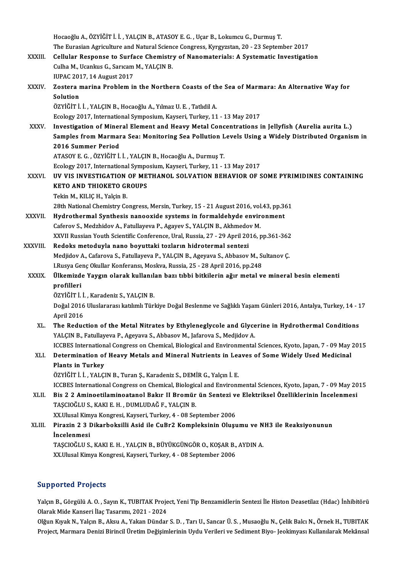|              | Hocaoğlu A., ÖZYİĞİT İ. İ., YALÇIN B., ATASOY E. G., Uçar B., Lokumcu G., Durmuş T.                               |
|--------------|-------------------------------------------------------------------------------------------------------------------|
|              | The Eurasian Agriculture and Natural Science Congress, Kyrgyzstan, 20 - 23 September 2017                         |
| XXXIII.      | Cellular Response to Surface Chemistry of Nanomaterials: A Systematic Investigation                               |
|              | Culha M., Ucankus G., Sarıcam M., YALÇIN B.                                                                       |
|              | IUPAC 2017, 14 August 2017                                                                                        |
| XXXIV.       | Zostera marina Problem in the Northern Coasts of the Sea of Marmara: An Alternative Way for                       |
|              | Solution                                                                                                          |
|              | ÖZYİĞİT İ. İ., YALÇIN B., Hocaoğlu A., Yılmaz U. E., Tatlıdil A.                                                  |
|              | Ecology 2017, International Symposium, Kayseri, Turkey, 11 - 13 May 2017                                          |
| XXXV.        | Investigation of Mineral Element and Heavy Metal Concentrations in Jellyfish (Aurelia aurita L.)                  |
|              | Samples from Marmara Sea: Monitoring Sea Pollution Levels Using a Widely Distributed Organism in                  |
|              | 2016 Summer Period                                                                                                |
|              | ATASOY E. G., ÖZYİĞİT İ. İ., YALÇIN B., Hocaoğlu A., Durmuş T.                                                    |
|              | Ecology 2017, International Symposium, Kayseri, Turkey, 11 - 13 May 2017                                          |
| <b>XXXVI</b> | UV VIS INVESTIGATION OF METHANOL SOLVATION BEHAVIOR OF SOME PYRIMIDINES CONTAINING                                |
|              | <b>KETO AND THIOKETO GROUPS</b>                                                                                   |
|              | Tekin M., KILIÇ H., Yalçin B.                                                                                     |
|              | 28th National Chemistry Congress, Mersin, Turkey, 15 - 21 August 2016, vol.43, pp.361                             |
| XXXVII.      | Hydrothermal Synthesis nanooxide systems in formaldehyde environment                                              |
|              | Caferov S., Medzhidov A., Fatullayeva P., Agayev S., YALÇIN B., Akhmedov M.                                       |
|              | XXVII Russian Youth Scientific Conference, Ural, Russia, 27 - 29 April 2016, pp.361-362                           |
| XXXVIII.     | Redoks metoduyla nano boyuttaki tozların hidrotermal sentezi                                                      |
|              | Medjidov A., Cafarova S., Fatullayeva P., YALÇIN B., Ageyava S., Abbasov M., Sultanov Ç.                          |
|              | I Rusya Genç Okullar Konferansı, Moskva, Russia, 25 - 28 April 2016, pp.248                                       |
| <b>XXXIX</b> | Ülkemizde Yaygın olarak kullanılan bazı tıbbi bitkilerin ağır metal ve mineral besin elementi<br>profilleri       |
|              | ÖZYİĞİTİİ, Karadeniz S., YALÇIN B.                                                                                |
|              | Doğal 2016 Uluslararası katılımlı Türkiye Doğal Beslenme ve Sağlıklı Yaşam Günleri 2016, Antalya, Turkey, 14 - 17 |
|              | April 2016                                                                                                        |
| XL.          | The Reduction of the Metal Nitrates by Ethyleneglycole and Glycerine in Hydrothermal Conditions                   |
|              | YALÇIN B., Fatullayeva P., Ageyava S., Abbasov M., Jafarova S., Medjidov A.                                       |
|              | ICCBES International Congress on Chemical, Biological and Environmental Sciences, Kyoto, Japan, 7 - 09 May 2015   |
| XLI.         | Determination of Heavy Metals and Mineral Nutrients in Leaves of Some Widely Used Medicinal                       |
|              | Plants in Turkey                                                                                                  |
|              | ÖZYİĞİT İ. İ., YALÇIN B., Turan Ş., Karadeniz S., DEMİR G., Yalçın İ. E.                                          |
|              | ICCBES International Congress on Chemical, Biological and Environmental Sciences, Kyoto, Japan, 7 - 09 May 2015   |
| XLII.        | Bis 2 2 Aminoetilaminoatanol Bakır II Bromür ün Sentezi ve Elektriksel Özelliklerinin İncelenmesi                 |
|              | TAȘCIOĞLU S., KAKI E. H., DUMLUDAĞ F., YALÇIN B.                                                                  |
|              | XX.Ulusal Kimya Kongresi, Kayseri, Turkey, 4 - 08 September 2006                                                  |
| XLIII.       | Pirazin 2 3 Dikarboksilli Asid ile CuBr2 Kompleksinin Oluşumu ve NH3 ile Reaksiyonunun                            |
|              | İncelenmesi                                                                                                       |
|              | TAŞCIOĞLU S., KAKI E. H., YALÇIN B., BÜYÜKGÜNGÖR O., KOŞAR B., AYDIN A.                                           |
|              | XX.Ulusal Kimya Kongresi, Kayseri, Turkey, 4 - 08 September 2006                                                  |
|              |                                                                                                                   |

#### Supported Projects

Supported Projects<br>Yalçın B., Görgülü A. O. , Sayın K., TUBITAK Project, Yeni Tip Benzamidlerin Sentezi İle Histon Deasetilaz (Hdac) İnhibitörü<br>Qlarak Mida Kansari İlas Tasarımı, 2021, 2024 Olapportea Trojects<br>Yalçın B., Görgülü A. O. , Sayın K., TUBITAK Proje<br>Olarak Mide Kanseri İlaç Tasarımı, 2021 - 2024<br>Olğun Kurak N. Valçın B. Alçıy A. Valçın Dünder Yalçın B., Görgülü A. O. , Sayın K., TUBITAK Project, Yeni Tip Benzamidlerin Sentezi İle Histon Deasetilaz (Hdac) İnhibitörü<br>Olarak Mide Kanseri İlaç Tasarımı, 2021 - 2024<br>Olğun Kıyak N., Yalçın B., Aksu A., Yakan Dündar S

Olarak Mide Kanseri İlaç Tasarımı, 2021 - 2024<br>Olğun Kıyak N., Yalçın B., Aksu A., Yakan Dündar S. D. , Tarı U., Sancar Ü. S. , Musaoğlu N., Çelik Balcı N., Örnek H., TUBITAK<br>Project, Marmara Denizi Birincil Üretim Değişim